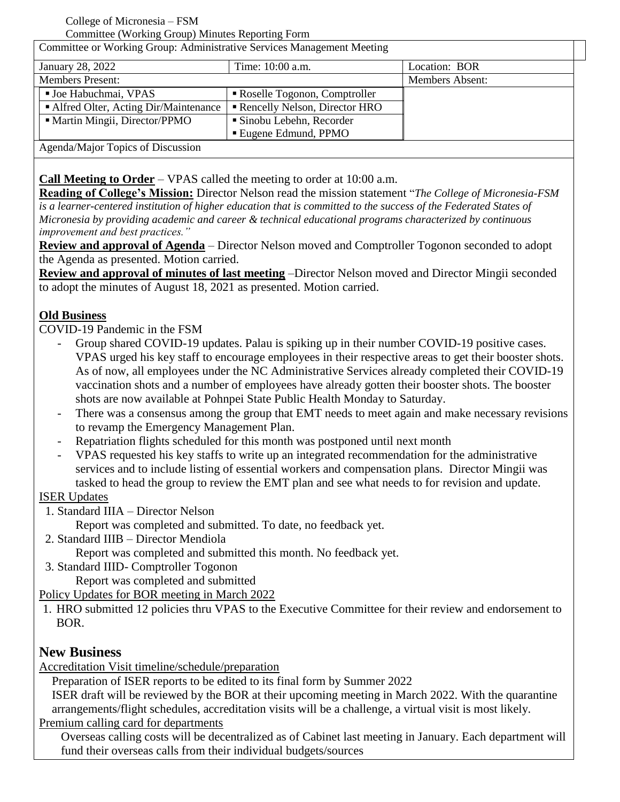#### College of Micronesia – FSM

Committee (Working Group) Minutes Reporting Form

Committee or Working Group: Administrative Services Management Meeting January 28, 2022 Time: 10:00 a.m. Location: BOR Members Present: Members Absent: ■ Joe Habuchmai, VPAS **Roselle Togonon**, Comptroller Alfred Olter, Acting Dir/Maintenance  $\parallel \blacksquare$  Rencelly Nelson, Director HRO • Martin Mingii, Director/PPMO | Sinobu Lebehn, Recorder Eugene Edmund, PPMO Agenda/Major Topics of Discussion

**Call Meeting to Order** – VPAS called the meeting to order at 10:00 a.m.

**Reading of College's Mission:** Director Nelson read the mission statement "*The College of Micronesia-FSM is a learner-centered institution of higher education that is committed to the success of the Federated States of Micronesia by providing academic and career & technical educational programs characterized by continuous improvement and best practices."*

**Review and approval of Agenda** – Director Nelson moved and Comptroller Togonon seconded to adopt the Agenda as presented. Motion carried.

**Review and approval of minutes of last meeting** –Director Nelson moved and Director Mingii seconded to adopt the minutes of August 18, 2021 as presented. Motion carried.

# **Old Business**

COVID-19 Pandemic in the FSM

- Group shared COVID-19 updates. Palau is spiking up in their number COVID-19 positive cases. VPAS urged his key staff to encourage employees in their respective areas to get their booster shots. As of now, all employees under the NC Administrative Services already completed their COVID-19 vaccination shots and a number of employees have already gotten their booster shots. The booster shots are now available at Pohnpei State Public Health Monday to Saturday.
- There was a consensus among the group that EMT needs to meet again and make necessary revisions to revamp the Emergency Management Plan.
- Repatriation flights scheduled for this month was postponed until next month
- VPAS requested his key staffs to write up an integrated recommendation for the administrative services and to include listing of essential workers and compensation plans. Director Mingii was tasked to head the group to review the EMT plan and see what needs to for revision and update.

#### ISER Updates

- 1. Standard IIIA Director Nelson
	- Report was completed and submitted. To date, no feedback yet.
- 2. Standard IIIB Director Mendiola
	- Report was completed and submitted this month. No feedback yet.
- 3. Standard IIID- Comptroller Togonon Report was completed and submitted

Policy Updates for BOR meeting in March 2022

1. HRO submitted 12 policies thru VPAS to the Executive Committee for their review and endorsement to BOR.

# **New Business**

Accreditation Visit timeline/schedule/preparation

Preparation of ISER reports to be edited to its final form by Summer 2022

ISER draft will be reviewed by the BOR at their upcoming meeting in March 2022. With the quarantine arrangements/flight schedules, accreditation visits will be a challenge, a virtual visit is most likely.

Premium calling card for departments

Overseas calling costs will be decentralized as of Cabinet last meeting in January. Each department will fund their overseas calls from their individual budgets/sources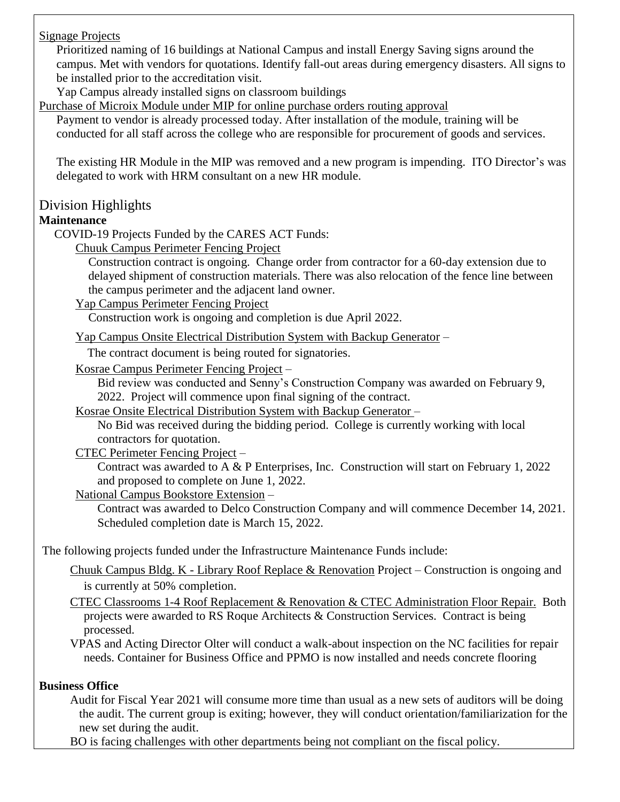Signage Projects

Prioritized naming of 16 buildings at National Campus and install Energy Saving signs around the campus. Met with vendors for quotations. Identify fall-out areas during emergency disasters. All signs to be installed prior to the accreditation visit.

Yap Campus already installed signs on classroom buildings

Purchase of Microix Module under MIP for online purchase orders routing approval

Payment to vendor is already processed today. After installation of the module, training will be conducted for all staff across the college who are responsible for procurement of goods and services.

The existing HR Module in the MIP was removed and a new program is impending. ITO Director's was delegated to work with HRM consultant on a new HR module.

# Division Highlights

# **Maintenance**

COVID-19 Projects Funded by the CARES ACT Funds:

Chuuk Campus Perimeter Fencing Project

Construction contract is ongoing. Change order from contractor for a 60-day extension due to delayed shipment of construction materials. There was also relocation of the fence line between the campus perimeter and the adjacent land owner.

Yap Campus Perimeter Fencing Project

Construction work is ongoing and completion is due April 2022.

Yap Campus Onsite Electrical Distribution System with Backup Generator –

The contract document is being routed for signatories.

Kosrae Campus Perimeter Fencing Project –

Bid review was conducted and Senny's Construction Company was awarded on February 9, 2022. Project will commence upon final signing of the contract.

Kosrae Onsite Electrical Distribution System with Backup Generator –

No Bid was received during the bidding period. College is currently working with local contractors for quotation.

CTEC Perimeter Fencing Project –

Contract was awarded to A & P Enterprises, Inc. Construction will start on February 1, 2022 and proposed to complete on June 1, 2022.

National Campus Bookstore Extension –

Contract was awarded to Delco Construction Company and will commence December 14, 2021. Scheduled completion date is March 15, 2022.

The following projects funded under the Infrastructure Maintenance Funds include:

Chuuk Campus Bldg. K - Library Roof Replace & Renovation Project – Construction is ongoing and is currently at 50% completion.

CTEC Classrooms 1-4 Roof Replacement & Renovation & CTEC Administration Floor Repair. Both projects were awarded to RS Roque Architects & Construction Services. Contract is being processed.

VPAS and Acting Director Olter will conduct a walk-about inspection on the NC facilities for repair needs. Container for Business Office and PPMO is now installed and needs concrete flooring

# **Business Office**

Audit for Fiscal Year 2021 will consume more time than usual as a new sets of auditors will be doing the audit. The current group is exiting; however, they will conduct orientation/familiarization for the new set during the audit.

BO is facing challenges with other departments being not compliant on the fiscal policy.